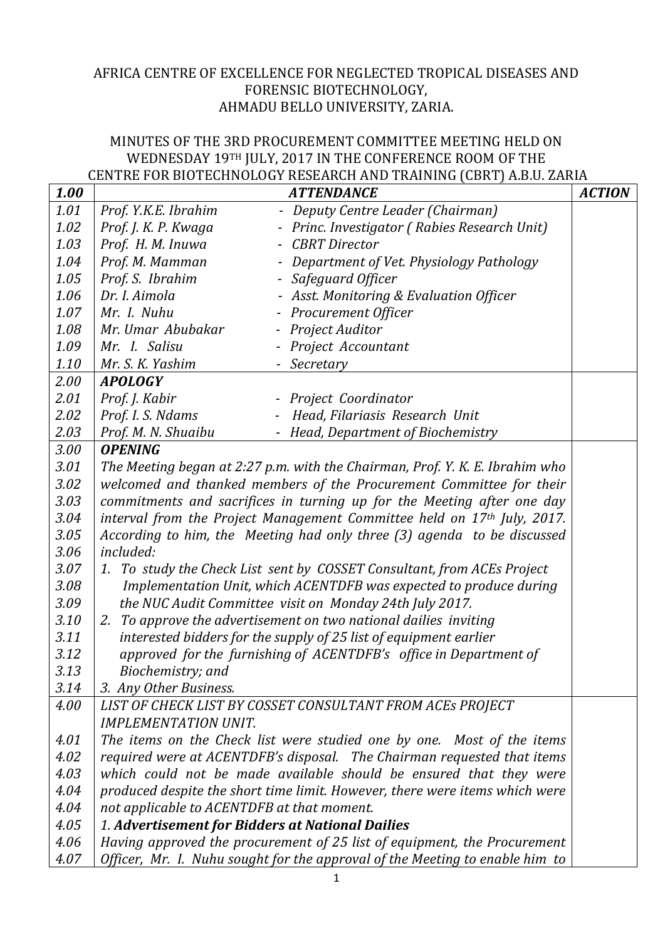## AFRICA CENTRE OF EXCELLENCE FOR NEGLECTED TROPICAL DISEASES AND FORENSIC BIOTECHNOLOGY, AHMADU BELLO UNIVERSITY, ZARIA.

## MINUTES OF THE 3RD PROCUREMENT COMMITTEE MEETING HELD ON WEDNESDAY 19TH JULY, 2017 IN THE CONFERENCE ROOM OF THE CENTRE FOR BIOTECHNOLOGY RESEARCH AND TRAINING (CBRT) A.B.U. ZARIA

| 1.00 |                                                                              | <b>ATTENDANCE</b>                                    | <b>ACTION</b> |
|------|------------------------------------------------------------------------------|------------------------------------------------------|---------------|
| 1.01 | Prof. Y.K.E. Ibrahim                                                         | Deputy Centre Leader (Chairman)<br>$\qquad \qquad -$ |               |
| 1.02 | Prof. J. K. P. Kwaga                                                         | - Princ. Investigator (Rabies Research Unit)         |               |
| 1.03 | Prof. H. M. Inuwa                                                            | <b>CBRT</b> Director<br>$\overline{\phantom{a}}$     |               |
| 1.04 | Prof. M. Mamman                                                              | Department of Vet. Physiology Pathology              |               |
| 1.05 | Prof. S. Ibrahim                                                             | - Safeguard Officer                                  |               |
| 1.06 | Dr. I. Aimola                                                                | - Asst. Monitoring & Evaluation Officer              |               |
| 1.07 | Mr. I. Nuhu                                                                  | - Procurement Officer                                |               |
| 1.08 | Mr. Umar Abubakar                                                            | - Project Auditor                                    |               |
| 1.09 | Mr. I. Salisu                                                                | - Project Accountant                                 |               |
| 1.10 | Mr. S. K. Yashim                                                             | - Secretary                                          |               |
| 2.00 | <b>APOLOGY</b>                                                               |                                                      |               |
| 2.01 | Prof. J. Kabir                                                               | - Project Coordinator                                |               |
| 2.02 | Prof. I. S. Ndams                                                            | Head, Filariasis Research Unit                       |               |
| 2.03 | Prof. M. N. Shuaibu                                                          | - Head, Department of Biochemistry                   |               |
| 3.00 | <b>OPENING</b>                                                               |                                                      |               |
| 3.01 | The Meeting began at 2:27 p.m. with the Chairman, Prof. Y. K. E. Ibrahim who |                                                      |               |
| 3.02 | welcomed and thanked members of the Procurement Committee for their          |                                                      |               |
| 3.03 | commitments and sacrifices in turning up for the Meeting after one day       |                                                      |               |
| 3.04 | interval from the Project Management Committee held on 17th July, 2017.      |                                                      |               |
| 3.05 | According to him, the Meeting had only three (3) agenda to be discussed      |                                                      |               |
| 3.06 | included:                                                                    |                                                      |               |
| 3.07 | 1. To study the Check List sent by COSSET Consultant, from ACEs Project      |                                                      |               |
| 3.08 | Implementation Unit, which ACENTDFB was expected to produce during           |                                                      |               |
| 3.09 | the NUC Audit Committee visit on Monday 24th July 2017.                      |                                                      |               |
| 3.10 | 2. To approve the advertisement on two national dailies inviting             |                                                      |               |
| 3.11 | interested bidders for the supply of 25 list of equipment earlier            |                                                      |               |
| 3.12 | approved for the furnishing of ACENTDFB's office in Department of            |                                                      |               |
| 3.13 | Biochemistry; and                                                            |                                                      |               |
| 3.14 | 3. Any Other Business.                                                       |                                                      |               |
| 4.00 | LIST OF CHECK LIST BY COSSET CONSULTANT FROM ACES PROJECT                    |                                                      |               |
|      | <b>IMPLEMENTATION UNIT.</b>                                                  |                                                      |               |
| 4.01 | The items on the Check list were studied one by one. Most of the items       |                                                      |               |
| 4.02 | required were at ACENTDFB's disposal. The Chairman requested that items      |                                                      |               |
| 4.03 | which could not be made available should be ensured that they were           |                                                      |               |
| 4.04 | produced despite the short time limit. However, there were items which were  |                                                      |               |
| 4.04 | not applicable to ACENTDFB at that moment.                                   |                                                      |               |
| 4.05 | 1. Advertisement for Bidders at National Dailies                             |                                                      |               |
| 4.06 | Having approved the procurement of 25 list of equipment, the Procurement     |                                                      |               |
| 4.07 | Officer, Mr. I. Nuhu sought for the approval of the Meeting to enable him to |                                                      |               |